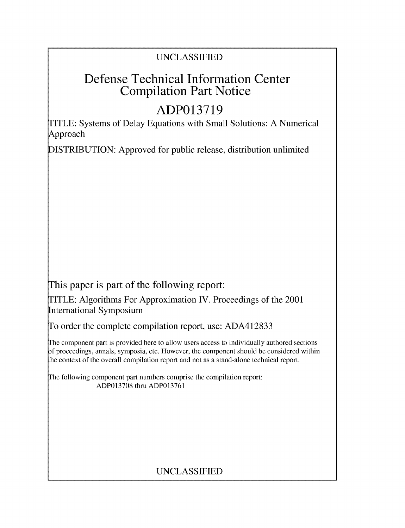# UNCLASSIFIED

# Defense Technical Information Center Compilation Part Notice

# **ADP013719**

TITLE: Systems of Delay Equations with Small Solutions: A Numerical Approach

DISTRIBUTION: Approved for public release, distribution unlimited

This paper is part of the following report:

TITLE: Algorithms For Approximation IV. Proceedings of the 2001 International Symposium

To order the complete compilation report, use: ADA412833

The component part is provided here to allow users access to individually authored sections f proceedings, annals, symposia, etc. However, the component should be considered within the context of the overall compilation report and not as a stand-alone technical report.

The following component part numbers comprise the compilation report: ADP013708 thru ADP013761

# UNCLASSIFIED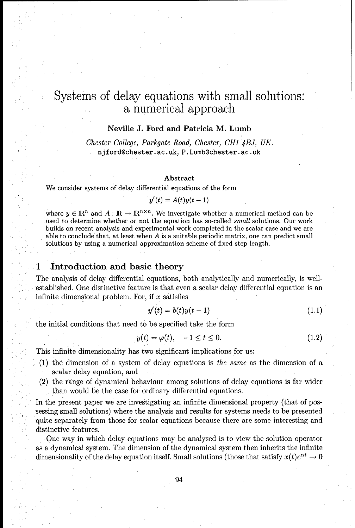# Systems of delay equations with small solutions: a numerical approach

#### Neville **J.** Ford and Patricia M. Lumb

*Chester College, Parkgate Road, Chester, CH1 4BJ, UK.* njford0chester ac. uk, P.Lumb@chester.ac.uk

#### Abstract

We consider systems of delay differential equations of the form

$$
y'(t) = A(t)y(t-1)
$$

where  $y \in \mathbb{R}^n$  and  $A : \mathbb{R} \to \mathbb{R}^{n \times n}$ . We investigate whether a numerical method can be used to determine whether or not the equation has so-called small solutions. Our work builds on recent analysis and experimental work completed in the scalar case and we are able to conclude that, at least when  $A$  is a suitable periodic matrix, one can predict small solutions by using a numerical approximation scheme of fixed step length.

#### **<sup>1</sup>**Introduction and basic theory

The analysis of delay differential equations, both analytically and numerically, is wellestablished. One distinctive feature is that even a scalar delay differential equation is an infinite dimensional problem. For, if  $x$  satisfies

$$
y'(t) = b(t)y(t-1) \tag{1.1}
$$

the initial conditions that need to be specified take the form

$$
y(t) = \varphi(t), \quad -1 \le t \le 0. \tag{1.2}
$$

This infinite dimensionality has two significant implications for us:

- $(1)$  the dimension of a system of delay equations is the same as the dimension of a scalar delay equation, and
- (2) the range of dynamical behaviour among solutions of delay equations is far wider than would be the case for ordinary differential equations.

In the present paper we are investigating an infinite dimensional property (that of possessing small solutions) where the analysis and results for systems needs to be presented quite separately from those for scalar equations because there are some interesting and distinctive features.

One way in which delay equations may be analysed is to view the solution operator as a dynamical system. The dimension of the dynamical system then inherits the infinite dimensionality of the delay equation itself. Small solutions (those that satisfy  $x(t)e^{\alpha t} \rightarrow 0$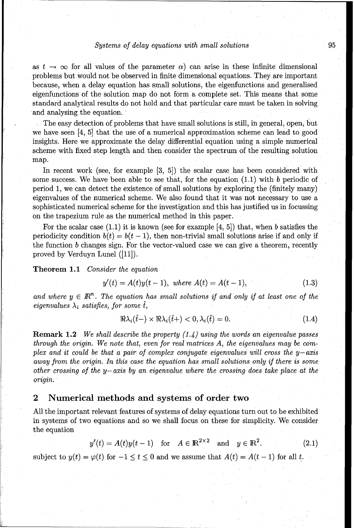#### *Systems of* delay equations with small *solutions* 95

as  $t \to \infty$  for all values of the parameter  $\alpha$ ) can arise in these infinite dimensional problems but would not be observed in finite dimensional equations. They are important because, when a delay equation has small solutions, the eigenfunctions and generalised eigenfunctions of the solution map do not form a complete set. This means that some standard analytical results do not hold and that particular care must be taken in solving and analysing the equation.

The easy detection of problems that have small solutions is still, in general, open, but we have seen [4, 5] that the use of a numerical approximation scheme can lead to good insights. Here we approximate the delay differential equation using a simple numerical scheme with fixed step length and then consider the spectrum of the resulting solution map.

In recent work (see, for example [3, 5]) the scalar case has been considered with some success. We have been able to see that, for the equation  $(1.1)$  with b periodic of period 1, we can detect the existence of small solutions by exploring the (finitely many) eigenvalues of the numerical scheme. We also found that it was not necessary to use a sophisticated numerical scheme for the investigation and this has justified us in focussing on the trapezium rule as the numerical method in this paper.

For the scalar case  $(1.1)$  it is known (see for example  $[4, 5]$ ) that, when b satisfies the periodicity condition  $b(t) = b(t-1)$ , then non-trivial small solutions arise if and only if the function b changes sign. For the vector-valued case we can give a theorem, recently proved by Verduyn Lunel ([11]).

Theorem **1.1** *Consider the* equation

$$
y'(t) = A(t)y(t-1), \text{ where } A(t) = A(t-1), \tag{1.3}
$$

and where  $y \in \mathbb{R}^n$ . The equation has small solutions if and only if at least one of the eigenvalues  $\lambda_i$  satisfies, for some  $\hat{t}$ ,

$$
\Re \lambda_i(\hat{t}-) \times \Re \lambda_i(\hat{t}) < 0, \lambda_i(\hat{t}) = 0. \tag{1.4}
$$

Remark 1.2 *We shall describe the property* (1.4) *using the words* an eigenvalue *passes through the origin. We* note that, even for real matrices A, *the* eigenvalues may be complex and it could *be* that a pair *of* complex conjugate eigenvalues *will cross the* y-axis away from the origin. In *this case the* equation has small solutions *only if there is* some *other crossing of the y-axis* by an eigenvalue where *the crossing does* take place at *the* origin.

### 2 Numerical methods and systems of order two

All the important relevant features of systems of delay equations turn out to be exhibited in systems of two equations and so we shall focus on these for simplicity. We consider the equation

$$
y'(t) = A(t)y(t-1) \quad \text{for} \quad A \in \mathbb{R}^{2 \times 2} \quad \text{and} \quad y \in \mathbb{R}^2. \tag{2.1}
$$

subject to  $y(t) = \varphi(t)$  for  $-1 \le t \le 0$  and we assume that  $A(t) = A(t-1)$  for all t.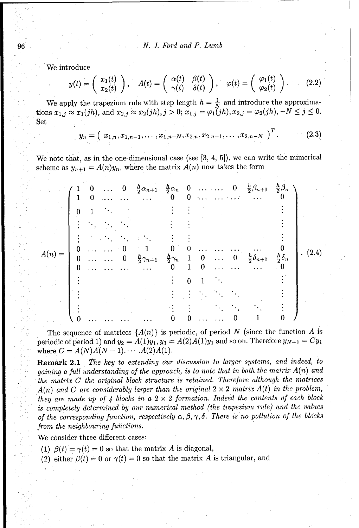96 *N. J. Ford and* P. Lumb

We introduce

$$
y(t) = \begin{pmatrix} x_1(t) \\ x_2(t) \end{pmatrix}, \quad A(t) = \begin{pmatrix} \alpha(t) & \beta(t) \\ \gamma(t) & \delta(t) \end{pmatrix}, \quad \varphi(t) = \begin{pmatrix} \varphi_1(t) \\ \varphi_2(t) \end{pmatrix}.
$$
 (2.2)

We apply the trapezium rule with step length  $h = \frac{1}{N}$  and introduce the approximations  $x_{1,j} \approx x_1(jh)$ , and  $x_{2,j} \approx x_2(jh), j > 0$ ;  $x_{1,j} = \varphi_1(jh), x_{2,j} = \varphi_2(jh), -N \le j \le 0$ . Set

$$
y_n = \left( x_{1,n}, x_{1,n-1}, \ldots, x_{1,n-N}, x_{2,n}, x_{2,n-1}, \ldots, x_{2,n-N} \right)^T. \tag{2.3}
$$

We note that, as in the one-dimensional case (see **[3,** 4, 5]), we can write the numerical scheme as  $y_{n+1} = A(n)y_n$ , where the matrix  $A(n)$  now takes the form

|          | $\begin{array}{c} 1 \ 1 \end{array}$ | $\mathbf{0}$ |  | $\cdots$ 0 $\frac{h}{2}\alpha_{n+1}$ $\frac{h}{2}\alpha_n$ 0 $\cdots$ 0 $\frac{h}{2}\beta_{n+1}$ $\frac{h}{2}\beta_n$<br>$\cdots$ $\cdots$ 0 0 $\cdots$ 0 0 |          |          |  |                                       |                       |       |
|----------|--------------------------------------|--------------|--|-------------------------------------------------------------------------------------------------------------------------------------------------------------|----------|----------|--|---------------------------------------|-----------------------|-------|
|          |                                      |              |  |                                                                                                                                                             |          |          |  |                                       |                       |       |
|          |                                      |              |  |                                                                                                                                                             |          |          |  |                                       |                       |       |
|          |                                      |              |  |                                                                                                                                                             |          |          |  |                                       |                       |       |
| $A(n) =$ | $\begin{matrix}0\\0\end{matrix}$     |              |  |                                                                                                                                                             | $\bf{0}$ |          |  |                                       |                       | (2.4) |
|          |                                      |              |  | $\cdots$ $\cdots$ $\frac{b}{2}\gamma_{n+1}$ $\frac{b}{2}\gamma_n$ 1<br>$\cdots$ $\cdots$ 0 1                                                                |          | $\theta$ |  | $0 \ldots 0 \frac{h}{2} \delta_{n+1}$ | $\frac{h}{2}\delta_n$ |       |
|          |                                      |              |  |                                                                                                                                                             |          |          |  |                                       |                       |       |
|          |                                      |              |  |                                                                                                                                                             |          |          |  |                                       |                       |       |
|          |                                      |              |  |                                                                                                                                                             |          |          |  |                                       |                       |       |
|          |                                      |              |  |                                                                                                                                                             |          |          |  |                                       |                       |       |

The sequence of matrices  $\{A(n)\}\$ is periodic, of period *N* (since the function *A* is periodic of period 1) and  $y_2 = A(1)y_1, y_3 = A(2)A(1)y_1$  and so on. Therefore  $y_{N+1} = Cy_1$ where  $C = A(N)A(N - 1)$ ..... $A(2)A(1)$ .

Remark 2.1 *The key to extending our discussion to larger systems, and indeed, to* gaining a full understanding *of the approach, is to note that in both the* matrix A(n) and the matrix *C the original block structure* is *retained. Therefore although the matrices*  $A(n)$  and *C* are considerably larger than the original  $2 \times 2$  matrix  $A(t)$  in the problem, they are made up *of* 4 *blocks* in a 2 x 2 formation. *Indeed the contents of each block* is completely determined by our numerical *method (the* trapezium rule) and *the values of the corresponding function, respectively*  $\alpha, \beta, \gamma, \delta$ . There is no pollution of the blocks from the neighbouring functions.

We consider three different cases:

(1)  $\beta(t) = \gamma(t) = 0$  so that the matrix A is diagonal,

(2) either  $\beta(t) = 0$  or  $\gamma(t) = 0$  so that the matrix A is triangular, and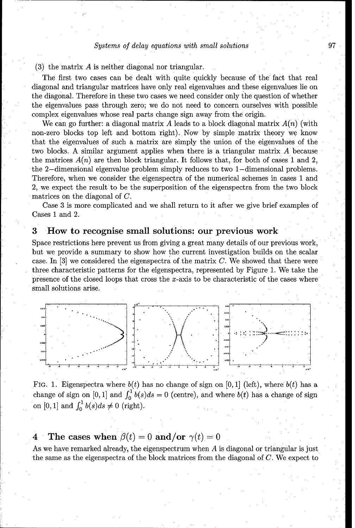(3) the matrix  $A$  is neither diagonal nor triangular.

The first two cases can be dealt with quite quickly because of the fact that real diagonal and triangular matrices have only real eigenvalues and these eigenvalues lie on the diagonal. Therefore in these two cases we need consider only the question of whether the eigenvalues pass through zero; we do not need to concern ourselves with possible complex eigenvalues whose real parts change sign away from the origin.

We can go further: a diagonal matrix A leads to a block diagonal matrix  $A(n)$  (with non-zero blocks top left and bottom right). Now by simple matrix theory we know that the eigenvalues of such a matrix are simply the union of the eigenvalues of the two blocks. A similar argument applies when there is a triangular matrix A because the matrices  $A(n)$  are then block triangular. It follows that, for both of cases 1 and 2. the 2-dimensional eigenvalue problem simply reduces to two 1-dimensional problems. Therefore, when we consider the eigenspectra of the numerical schemes in cases 1 and 2, we expect the result to be the superposition of the eigenspectra from the two block matrices on the diagonal of *C.*

Case 3 is more complicated and we shall return to it after we give brief examples of Cases 1 and 2.

### **3** How to recognise small solutions: our previous work

Space restrictions here prevent us from giving a great many details of our previous work, but we provide a summary to show how the current investigation builds on the scalar case. In  $[3]$  we considered the eigenspectra of the matrix C. We showed that there were three characteristic patterns for the eigenspectra, represented by Figure 1. We take the presence of the closed loops that cross the  $x$ -axis to be characteristic of the cases where small solutions arise.



FIG. 1. Eigenspectra where  $b(t)$  has no change of sign on [0, 1] (left), where  $b(t)$  has a change of sign on [0, 1] and  $\int_0^1 b(s)ds = 0$  (centre), and where  $b(t)$  has a change of sign on  $[0, 1]$  and  $\int_0^1 b(s)ds \neq 0$  (right).

## **4** The cases when  $\beta(t) = 0$  and/or  $\gamma(t) = 0$

As we have remarked already, the eigenspectrum when A is diagonal or triangular is just the same as the eigenspectra of the block matrices from the diagonal of C. We expect to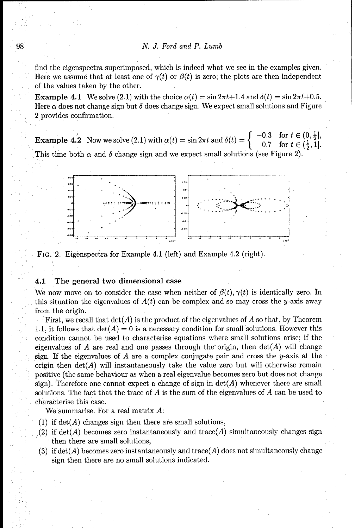find the eigenspectra superimposed, which is indeed what we see in the examples given. Here we assume that at least one of  $\gamma(t)$  or  $\beta(t)$  is zero; the plots are then independent of the values taken by the other.

**Example 4.1** We solve (2.1) with the choice  $\alpha(t) = \sin 2\pi t + 1.4$  and  $\delta(t) = \sin 2\pi t + 0.5$ . Here  $\alpha$  does not change sign but  $\delta$  does change sign. We expect small solutions and Figure 2 provides confirmation.

**Example 4.2** Now we solve (2.1) with  $\alpha(t) = \sin 2\pi t$  and  $\delta(t) = \begin{cases} -0.3 & \text{for } t \in (0, \frac{1}{2}], \\ 0.7 & \text{for } t \in (\frac{1}{2}, 1]. \end{cases}$ This time both  $\alpha$  and  $\delta$  change sign and we expect small solutions (see Figure 2).



FiG. 2. Eigenspectra for Example 4.1 (left) and Example 4.2 (right).

#### 4.1 The general two dimensional case

We now move on to consider the case when neither of  $\beta(t), \gamma(t)$  is identically zero. In this situation the eigenvalues of  $A(t)$  can be complex and so may cross the y-axis away from the origin.

First, we recall that  $det(A)$  is the product of the eigenvalues of A so that, by Theorem 1.1, it follows that  $det(A) = 0$  is a necessary condition for small solutions. However this condition cannot be used to characterise equations where small solutions arise; if the eigenvalues of A are real and one passes through the origin, then  $det(A)$  will change sign. If the eigenvalues of A are a complex conjugate pair and cross the y-axis at the origin then  $det(A)$  will instantaneously take the value zero but will otherwise remain positive (the same behaviour as when a real eigenvalue becomes zero but does not change sign). Therefore one cannot expect a change of sign in  $\det(A)$  whenever there are small solutions. The fact that the trace of  $A$  is the sum of the eigenvalues of  $A$  can be used to characterise this case.

We summarise. For a real matrix A:

- (1) if  $det(A)$  changes sign then there are small solutions,
- (2) if  $\det(A)$  becomes zero instantaneously and trace(A) simultaneously changes sign then there are small solutions,
- (3) if  $\det(A)$  becomes zero instantaneously and trace(A) does not simultaneously change sign then there are no small solutions indicated.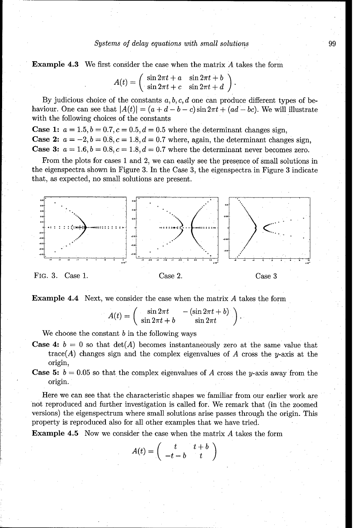#### *Systems of delay equations with small solutions*  $99$

Example 4.3 We first consider the case when the matrix A takes the form

$$
A(t) = \begin{pmatrix} \sin 2\pi t + a & \sin 2\pi t + b \\ \sin 2\pi t + c & \sin 2\pi t + d \end{pmatrix}.
$$

By judicious choice of the constants a, *b, c, d* one can produce different types of behaviour. One can see that  $|A(t)| = (a + d - b - c) \sin 2\pi t + (ad - bc)$ . We will illustrate with the following choices of the constants

**Case 1:**  $a = 1.5, b = 0.7, c = 0.5, d = 0.5$  where the determinant changes sign, **Case 2:**  $a = -2, b = 0.8, c = 1.8, d = 0.7$  where, again, the determinant changes sign, **Case 3:**  $a = 1.6, b = 0.8, c = 1.8, d = 0.7$  where the determinant never becomes zero.

From the plots for cases 1 and 2, we can easily see the presence of small solutions in the eigenspectra shown in Figure 3. In the Case 3, the eigenspectra in Figure 3 indicate that, as expected, no small solutions are present.



**Example 4.4** Next, we consider the case when the matrix  $A$  takes the form

 $A(t) = \begin{pmatrix} \sin 2\pi t & -(\sin 2\pi t + b) \\ \sin 2\pi t + b & \sin 2\pi t \end{pmatrix}$ 

We choose the constant  $b$  in the following ways

- **Case 4:**  $b = 0$  so that  $det(A)$  becomes instantaneously zero at the same value that trace(A) changes sign and the complex eigenvalues of A cross the y-axis at the origin,
- **Case 5:**  $b = 0.05$  so that the complex eigenvalues of A cross the y-axis away from the origin.

Here we can see that the characteristic shapes we familiar from our earlier work are not reproduced and further investigation is called for. We remark that (in the zoomed versions) the eigenspectrum where small solutions arise passes through the origin. This property is reproduced also for all other examples that we have tried.

**Example 4.5** Now we consider the case when the matrix A takes the form

$$
A(t) = \left( \begin{array}{cc} t & t+b \\ -t-b & t \end{array} \right)
$$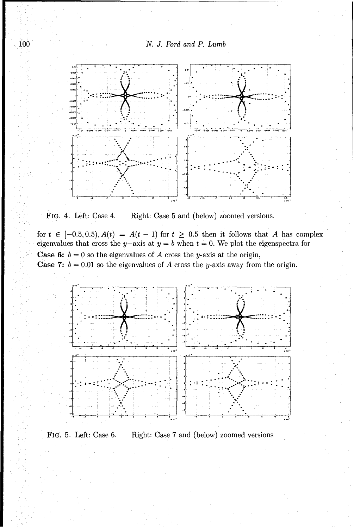



FIG. 4. Left: Case 4. Right: Case 5 and (below) zoomed versions.

for  $t \in [-0.5, 0.5), A(t) = A(t-1)$  for  $t \ge 0.5$  then it follows that A has complex eigenvalues that cross the y-axis at  $y = b$  when  $t = 0$ . We plot the eigenspectra for **Case 6:**  $b = 0$  so the eigenvalues of A cross the y-axis at the origin, **Case 7:**  $b = 0.01$  so the eigenvalues of A cross the y-axis away from the origin.



FIG. 5. Left: Case 6. Right: Case 7 and (below) zoomed versions